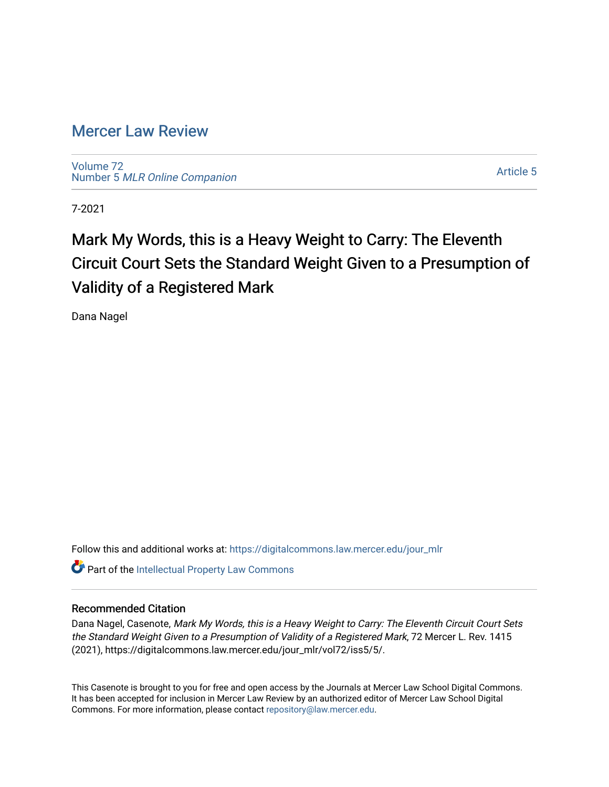# [Mercer Law Review](https://digitalcommons.law.mercer.edu/jour_mlr)

[Volume 72](https://digitalcommons.law.mercer.edu/jour_mlr/vol72) Number 5 [MLR Online Companion](https://digitalcommons.law.mercer.edu/jour_mlr/vol72/iss5) 

[Article 5](https://digitalcommons.law.mercer.edu/jour_mlr/vol72/iss5/5) 

7-2021

# Mark My Words, this is a Heavy Weight to Carry: The Eleventh Circuit Court Sets the Standard Weight Given to a Presumption of Validity of a Registered Mark

Dana Nagel

Follow this and additional works at: [https://digitalcommons.law.mercer.edu/jour\\_mlr](https://digitalcommons.law.mercer.edu/jour_mlr?utm_source=digitalcommons.law.mercer.edu%2Fjour_mlr%2Fvol72%2Fiss5%2F5&utm_medium=PDF&utm_campaign=PDFCoverPages)

**C** Part of the Intellectual Property Law Commons

# Recommended Citation

Dana Nagel, Casenote, Mark My Words, this is a Heavy Weight to Carry: The Eleventh Circuit Court Sets the Standard Weight Given to a Presumption of Validity of a Registered Mark, 72 Mercer L. Rev. 1415 (2021), https://digitalcommons.law.mercer.edu/jour\_mlr/vol72/iss5/5/.

This Casenote is brought to you for free and open access by the Journals at Mercer Law School Digital Commons. It has been accepted for inclusion in Mercer Law Review by an authorized editor of Mercer Law School Digital Commons. For more information, please contact [repository@law.mercer.edu.](mailto:repository@law.mercer.edu)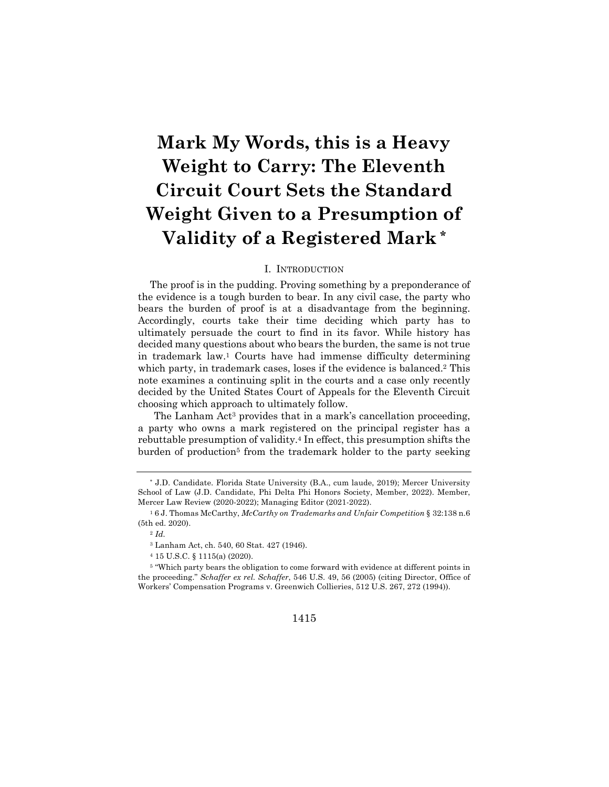# **Mark My Words, this is a Heavy Weight to Carry: The Eleventh Circuit Court Sets the Standard Weight Given to a Presumption of Validity of a Registered Mark \***

# I. INTRODUCTION

The proof is in the pudding. Proving something by a preponderance of the evidence is a tough burden to bear. In any civil case, the party who bears the burden of proof is at a disadvantage from the beginning. Accordingly, courts take their time deciding which party has to ultimately persuade the court to find in its favor. While history has decided many questions about who bears the burden, the same is not true in trademark law.1 Courts have had immense difficulty determining which party, in trademark cases, loses if the evidence is balanced.<sup>2</sup> This note examines a continuing split in the courts and a case only recently decided by the United States Court of Appeals for the Eleventh Circuit choosing which approach to ultimately follow.

The Lanham Act<sup>3</sup> provides that in a mark's cancellation proceeding, a party who owns a mark registered on the principal register has a rebuttable presumption of validity.4 In effect, this presumption shifts the burden of production<sup>5</sup> from the trademark holder to the party seeking

## 1415

<sup>\*</sup> J.D. Candidate. Florida State University (B.A., cum laude, 2019); Mercer University School of Law (J.D. Candidate, Phi Delta Phi Honors Society, Member, 2022). Member, Mercer Law Review (2020-2022); Managing Editor (2021-2022).

<sup>1</sup> 6 J. Thomas McCarthy, *McCarthy on Trademarks and Unfair Competition* § 32:138 n.6 (5th ed. 2020).

<sup>2</sup> *Id.*

<sup>3</sup> Lanham Act, ch. 540, 60 Stat. 427 (1946).

<sup>4</sup> 15 U.S.C. § 1115(a) (2020).

<sup>5</sup> "Which party bears the obligation to come forward with evidence at different points in the proceeding." *Schaffer ex rel. Schaffer*, 546 U.S. 49, 56 (2005) (citing Director, Office of Workers' Compensation Programs v. Greenwich Collieries, 512 U.S. 267, 272 (1994)).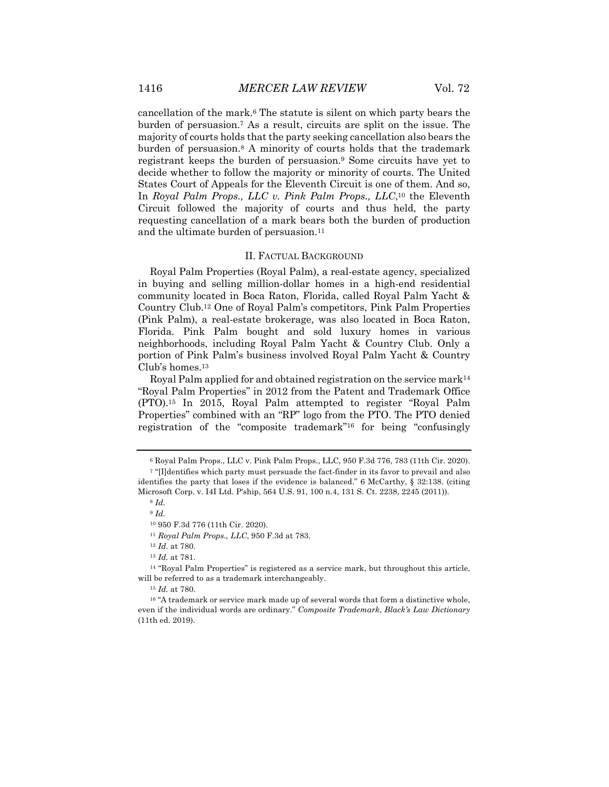cancellation of the mark.6 The statute is silent on which party bears the burden of persuasion.7 As a result, circuits are split on the issue. The majority of courts holds that the party seeking cancellation also bears the burden of persuasion.8 A minority of courts holds that the trademark registrant keeps the burden of persuasion.9 Some circuits have yet to decide whether to follow the majority or minority of courts. The United States Court of Appeals for the Eleventh Circuit is one of them. And so, In *Royal Palm Props., LLC v. Pink Palm Props., LLC*,10 the Eleventh Circuit followed the majority of courts and thus held, the party requesting cancellation of a mark bears both the burden of production and the ultimate burden of persuasion.11

# II. FACTUAL BACKGROUND

Royal Palm Properties (Royal Palm), a real-estate agency, specialized in buying and selling million-dollar homes in a high-end residential community located in Boca Raton, Florida, called Royal Palm Yacht & Country Club.12 One of Royal Palm's competitors, Pink Palm Properties (Pink Palm), a real-estate brokerage, was also located in Boca Raton, Florida. Pink Palm bought and sold luxury homes in various neighborhoods, including Royal Palm Yacht & Country Club. Only a portion of Pink Palm's business involved Royal Palm Yacht & Country Club's homes.13

Royal Palm applied for and obtained registration on the service mark<sup>14</sup> "Royal Palm Properties" in 2012 from the Patent and Trademark Office (PTO).15 In 2015, Royal Palm attempted to register "Royal Palm Properties" combined with an "RP" logo from the PTO. The PTO denied registration of the "composite trademark"16 for being "confusingly

<sup>6</sup> Royal Palm Props., LLC v. Pink Palm Props., LLC, 950 F.3d 776, 783 (11th Cir. 2020).

<sup>7</sup> "[I]dentifies which party must persuade the fact-finder in its favor to prevail and also identifies the party that loses if the evidence is balanced." 6 McCarthy, § 32:138. (citing Microsoft Corp. v. I4I Ltd. P'ship, 564 U.S. 91, 100 n.4, 131 S. Ct. 2238, 2245 (2011)).

<sup>8</sup> *Id.*

<sup>9</sup> *Id.*

<sup>10</sup> 950 F.3d 776 (11th Cir. 2020).

<sup>11</sup> *Royal Palm Props., LLC*, 950 F.3d at 783.

<sup>12</sup> *Id.* at 780.

<sup>13</sup> *Id.* at 781.

<sup>&</sup>lt;sup>14</sup> "Royal Palm Properties" is registered as a service mark, but throughout this article, will be referred to as a trademark interchangeably.

<sup>15</sup> *Id.* at 780.

<sup>&</sup>lt;sup>16</sup> "A trademark or service mark made up of several words that form a distinctive whole, even if the individual words are ordinary." *Composite Trademark*, *Black's Law Dictionary* (11th ed. 2019).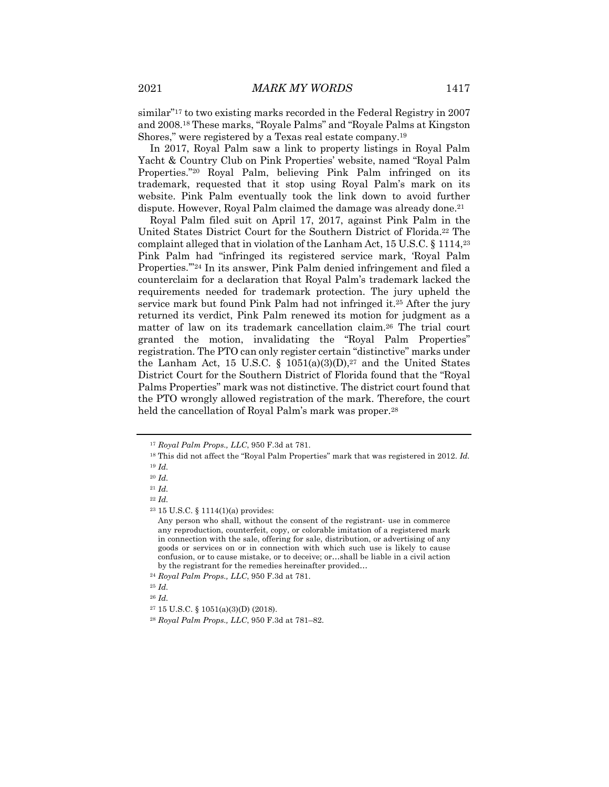similar"17 to two existing marks recorded in the Federal Registry in 2007 and 2008.18 These marks, "Royale Palms" and "Royale Palms at Kingston Shores," were registered by a Texas real estate company.19

In 2017, Royal Palm saw a link to property listings in Royal Palm Yacht & Country Club on Pink Properties' website, named "Royal Palm Properties."20 Royal Palm, believing Pink Palm infringed on its trademark, requested that it stop using Royal Palm's mark on its website. Pink Palm eventually took the link down to avoid further dispute. However, Royal Palm claimed the damage was already done.21

Royal Palm filed suit on April 17, 2017, against Pink Palm in the United States District Court for the Southern District of Florida.22 The complaint alleged that in violation of the Lanham Act, 15 U.S.C. § 1114,23 Pink Palm had "infringed its registered service mark, 'Royal Palm Properties.'"24 In its answer, Pink Palm denied infringement and filed a counterclaim for a declaration that Royal Palm's trademark lacked the requirements needed for trademark protection. The jury upheld the service mark but found Pink Palm had not infringed it.25 After the jury returned its verdict, Pink Palm renewed its motion for judgment as a matter of law on its trademark cancellation claim.26 The trial court granted the motion, invalidating the "Royal Palm Properties" registration. The PTO can only register certain "distinctive" marks under the Lanham Act, 15 U.S.C. § 1051(a)(3)(D), $27$  and the United States District Court for the Southern District of Florida found that the "Royal Palms Properties" mark was not distinctive. The district court found that the PTO wrongly allowed registration of the mark. Therefore, the court held the cancellation of Royal Palm's mark was proper.<sup>28</sup>

<sup>26</sup> *Id.*

<sup>17</sup> *Royal Palm Props., LLC*, 950 F.3d at 781.

<sup>18</sup> This did not affect the "Royal Palm Properties" mark that was registered in 2012. *Id.*

<sup>19</sup> *Id.*

<sup>20</sup> *Id.*

<sup>21</sup> *Id.*

<sup>22</sup> *Id.*

 $23$  15 U.S.C. § 1114(1)(a) provides:

Any person who shall, without the consent of the registrant- use in commerce any reproduction, counterfeit, copy, or colorable imitation of a registered mark in connection with the sale, offering for sale, distribution, or advertising of any goods or services on or in connection with which such use is likely to cause confusion, or to cause mistake, or to deceive; or…shall be liable in a civil action by the registrant for the remedies hereinafter provided…

<sup>24</sup> *Royal Palm Props., LLC*, 950 F.3d at 781.

<sup>25</sup> *Id.*

<sup>27</sup> 15 U.S.C. § 1051(a)(3)(D) (2018).

<sup>28</sup> *Royal Palm Props., LLC*, 950 F.3d at 781–82.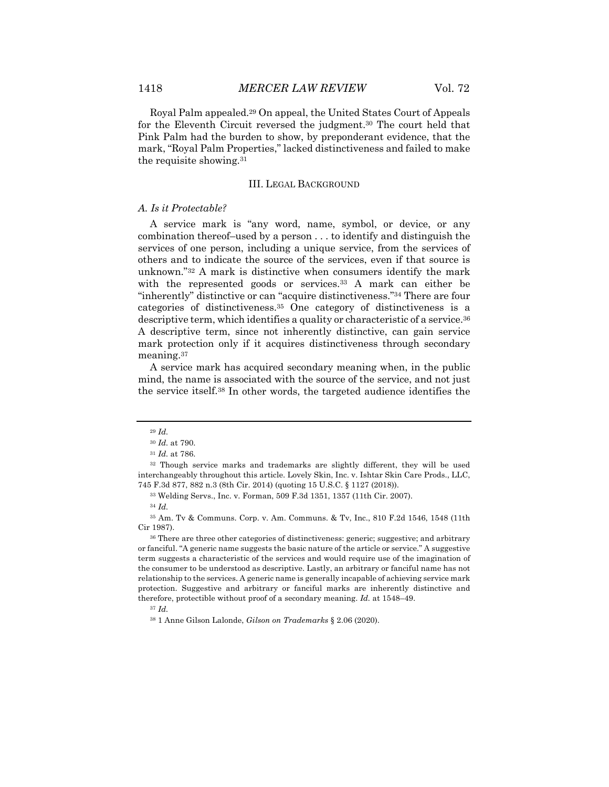Royal Palm appealed.29 On appeal, the United States Court of Appeals for the Eleventh Circuit reversed the judgment.30 The court held that Pink Palm had the burden to show, by preponderant evidence, that the mark, "Royal Palm Properties," lacked distinctiveness and failed to make the requisite showing.31

# III. LEGAL BACKGROUND

# *A. Is it Protectable?*

A service mark is "any word, name, symbol, or device, or any combination thereof–used by a person . . . to identify and distinguish the services of one person, including a unique service, from the services of others and to indicate the source of the services, even if that source is unknown."32 A mark is distinctive when consumers identify the mark with the represented goods or services.<sup>33</sup> A mark can either be "inherently" distinctive or can "acquire distinctiveness."34 There are four categories of distinctiveness.35 One category of distinctiveness is a descriptive term, which identifies a quality or characteristic of a service.36 A descriptive term, since not inherently distinctive, can gain service mark protection only if it acquires distinctiveness through secondary meaning.37

A service mark has acquired secondary meaning when, in the public mind, the name is associated with the source of the service, and not just the service itself.38 In other words, the targeted audience identifies the

<sup>29</sup> *Id.*

<sup>30</sup> *Id.* at 790.

<sup>31</sup> *Id.* at 786.

<sup>32</sup> Though service marks and trademarks are slightly different, they will be used interchangeably throughout this article. Lovely Skin, Inc. v. Ishtar Skin Care Prods., LLC, 745 F.3d 877, 882 n.3 (8th Cir. 2014) (quoting 15 U.S.C. § 1127 (2018)).

<sup>33</sup> Welding Servs., Inc. v. Forman, 509 F.3d 1351, 1357 (11th Cir. 2007).

<sup>34</sup> *Id.*

<sup>35</sup> Am. Tv & Communs. Corp. v. Am. Communs. & Tv, Inc., 810 F.2d 1546, 1548 (11th Cir 1987).

<sup>36</sup> There are three other categories of distinctiveness: generic; suggestive; and arbitrary or fanciful. "A generic name suggests the basic nature of the article or service." A suggestive term suggests a characteristic of the services and would require use of the imagination of the consumer to be understood as descriptive. Lastly, an arbitrary or fanciful name has not relationship to the services. A generic name is generally incapable of achieving service mark protection. Suggestive and arbitrary or fanciful marks are inherently distinctive and therefore, protectible without proof of a secondary meaning. *Id.* at 1548–49.

<sup>37</sup> *Id.*

<sup>38</sup> 1 Anne Gilson Lalonde, *Gilson on Trademarks* § 2.06 (2020).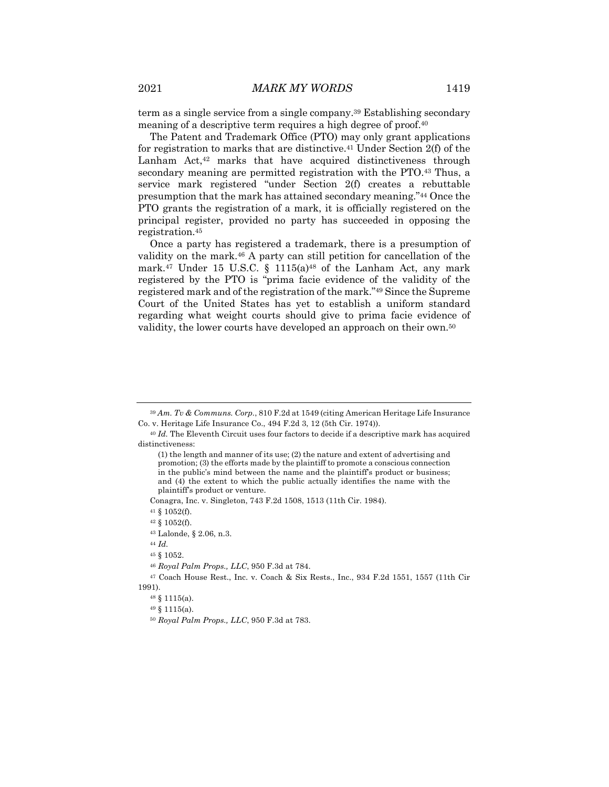term as a single service from a single company.39 Establishing secondary meaning of a descriptive term requires a high degree of proof.40

The Patent and Trademark Office (PTO) may only grant applications for registration to marks that are distinctive.41 Under Section 2(f) of the Lanham Act,<sup>42</sup> marks that have acquired distinctiveness through secondary meaning are permitted registration with the PTO.43 Thus, a service mark registered "under Section 2(f) creates a rebuttable presumption that the mark has attained secondary meaning."44 Once the PTO grants the registration of a mark, it is officially registered on the principal register, provided no party has succeeded in opposing the registration.45

Once a party has registered a trademark, there is a presumption of validity on the mark.46 A party can still petition for cancellation of the mark.<sup>47</sup> Under 15 U.S.C. § 1115(a)<sup>48</sup> of the Lanham Act, any mark registered by the PTO is "prima facie evidence of the validity of the registered mark and of the registration of the mark."49 Since the Supreme Court of the United States has yet to establish a uniform standard regarding what weight courts should give to prima facie evidence of validity, the lower courts have developed an approach on their own.50

Conagra, Inc. v. Singleton, 743 F.2d 1508, 1513 (11th Cir. 1984).

<sup>44</sup> *Id.*

<sup>48</sup> § 1115(a).

<sup>49</sup> § 1115(a).

<sup>39</sup> *Am. Tv & Communs. Corp.*, 810 F.2d at 1549 (citing American Heritage Life Insurance Co. v. Heritage Life Insurance Co., 494 F.2d 3, 12 (5th Cir. 1974)).

<sup>40</sup> *Id.* The Eleventh Circuit uses four factors to decide if a descriptive mark has acquired distinctiveness:

<sup>(1)</sup> the length and manner of its use; (2) the nature and extent of advertising and promotion; (3) the efforts made by the plaintiff to promote a conscious connection in the public's mind between the name and the plaintiff's product or business; and (4) the extent to which the public actually identifies the name with the plaintiff's product or venture.

<sup>41</sup> § 1052(f).

<sup>42</sup> § 1052(f).

<sup>43</sup> Lalonde, § 2.06, n.3.

<sup>45</sup> § 1052.

<sup>46</sup> *Royal Palm Props., LLC*, 950 F.3d at 784.

<sup>47</sup> Coach House Rest., Inc. v. Coach & Six Rests., Inc., 934 F.2d 1551, 1557 (11th Cir 1991).

<sup>50</sup> *Royal Palm Props., LLC*, 950 F.3d at 783.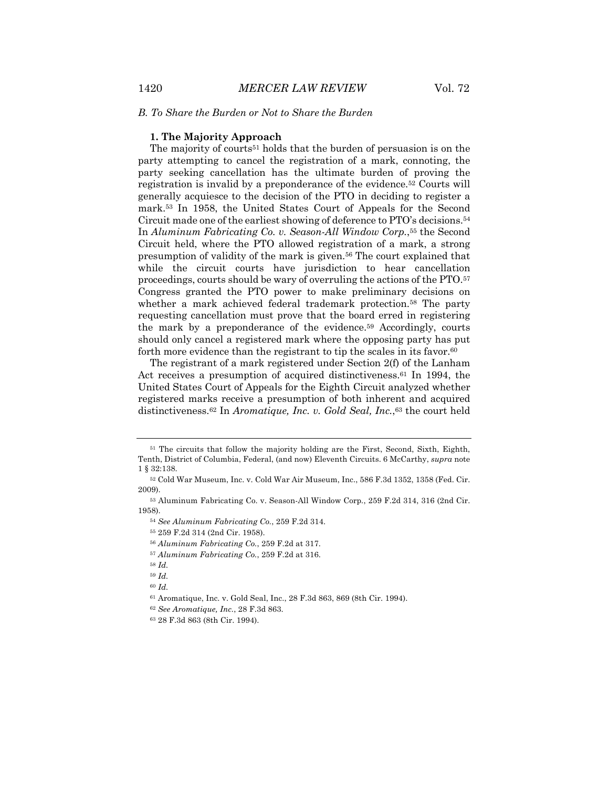## *B. To Share the Burden or Not to Share the Burden*

#### **1. The Majority Approach**

The majority of courts51 holds that the burden of persuasion is on the party attempting to cancel the registration of a mark, connoting, the party seeking cancellation has the ultimate burden of proving the registration is invalid by a preponderance of the evidence.52 Courts will generally acquiesce to the decision of the PTO in deciding to register a mark.53 In 1958, the United States Court of Appeals for the Second Circuit made one of the earliest showing of deference to PTO's decisions.54 In *Aluminum Fabricating Co. v. Season-All Window Corp.*,55 the Second Circuit held, where the PTO allowed registration of a mark, a strong presumption of validity of the mark is given.56 The court explained that while the circuit courts have jurisdiction to hear cancellation proceedings, courts should be wary of overruling the actions of the PTO.57 Congress granted the PTO power to make preliminary decisions on whether a mark achieved federal trademark protection.<sup>58</sup> The party requesting cancellation must prove that the board erred in registering the mark by a preponderance of the evidence.59 Accordingly, courts should only cancel a registered mark where the opposing party has put forth more evidence than the registrant to tip the scales in its favor.<sup>60</sup>

The registrant of a mark registered under Section 2(f) of the Lanham Act receives a presumption of acquired distinctiveness.61 In 1994, the United States Court of Appeals for the Eighth Circuit analyzed whether registered marks receive a presumption of both inherent and acquired distinctiveness.62 In *Aromatique, Inc. v. Gold Seal, Inc.*,63 the court held

<sup>51</sup> The circuits that follow the majority holding are the First, Second, Sixth, Eighth, Tenth, District of Columbia, Federal, (and now) Eleventh Circuits. 6 McCarthy, *supra* note 1 § 32:138.

<sup>52</sup> Cold War Museum, Inc. v. Cold War Air Museum, Inc., 586 F.3d 1352, 1358 (Fed. Cir. 2009).

<sup>53</sup> Aluminum Fabricating Co. v. Season-All Window Corp*.*, 259 F.2d 314, 316 (2nd Cir. 1958).

<sup>54</sup> *See Aluminum Fabricating Co.*, 259 F.2d 314.

<sup>55</sup> 259 F.2d 314 (2nd Cir. 1958).

<sup>56</sup> *Aluminum Fabricating Co.*, 259 F.2d at 317.

<sup>57</sup> *Aluminum Fabricating Co.*, 259 F.2d at 316.

<sup>58</sup> *Id.*

<sup>59</sup> *Id.*

<sup>60</sup> *Id.*

<sup>61</sup> Aromatique, Inc. v. Gold Seal, Inc., 28 F.3d 863, 869 (8th Cir. 1994).

<sup>62</sup> *See Aromatique, Inc.*, 28 F.3d 863.

<sup>63</sup> 28 F.3d 863 (8th Cir. 1994).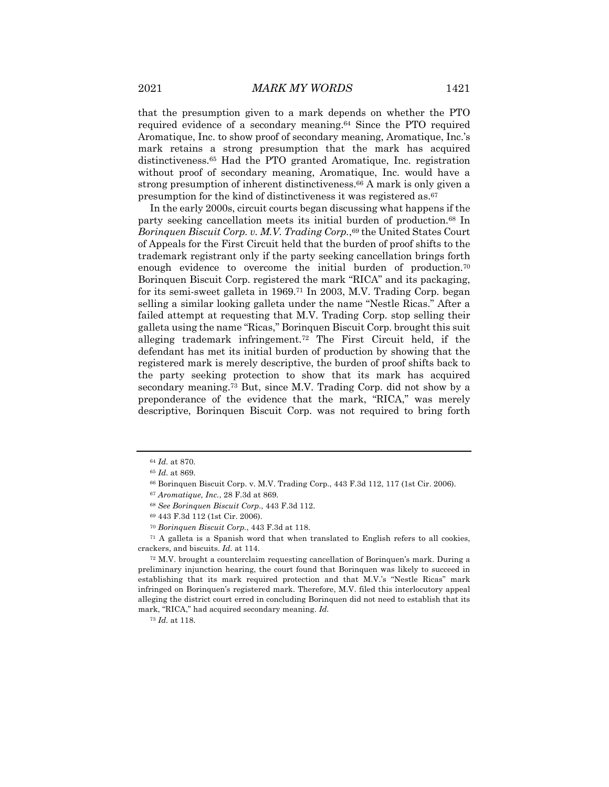that the presumption given to a mark depends on whether the PTO required evidence of a secondary meaning.64 Since the PTO required Aromatique, Inc. to show proof of secondary meaning, Aromatique, Inc.'s mark retains a strong presumption that the mark has acquired distinctiveness.65 Had the PTO granted Aromatique, Inc. registration without proof of secondary meaning, Aromatique, Inc. would have a strong presumption of inherent distinctiveness.66 A mark is only given a presumption for the kind of distinctiveness it was registered as.67

In the early 2000s, circuit courts began discussing what happens if the party seeking cancellation meets its initial burden of production.68 In *Borinquen Biscuit Corp. v. M.V. Trading Corp.*,<sup>69</sup> the United States Court of Appeals for the First Circuit held that the burden of proof shifts to the trademark registrant only if the party seeking cancellation brings forth enough evidence to overcome the initial burden of production.<sup>70</sup> Borinquen Biscuit Corp. registered the mark "RICA" and its packaging, for its semi-sweet galleta in 1969.71 In 2003, M.V. Trading Corp. began selling a similar looking galleta under the name "Nestle Ricas." After a failed attempt at requesting that M.V. Trading Corp. stop selling their galleta using the name "Ricas," Borinquen Biscuit Corp. brought this suit alleging trademark infringement.72 The First Circuit held, if the defendant has met its initial burden of production by showing that the registered mark is merely descriptive, the burden of proof shifts back to the party seeking protection to show that its mark has acquired secondary meaning.73 But, since M.V. Trading Corp. did not show by a preponderance of the evidence that the mark, "RICA," was merely descriptive, Borinquen Biscuit Corp. was not required to bring forth

<sup>71</sup> A galleta is a Spanish word that when translated to English refers to all cookies, crackers, and biscuits. *Id.* at 114.

<sup>72</sup> M.V. brought a counterclaim requesting cancellation of Borinquen's mark. During a preliminary injunction hearing, the court found that Borinquen was likely to succeed in establishing that its mark required protection and that M.V.'s "Nestle Ricas" mark infringed on Borinquen's registered mark. Therefore, M.V. filed this interlocutory appeal alleging the district court erred in concluding Borinquen did not need to establish that its mark, "RICA," had acquired secondary meaning. *Id.*

<sup>64</sup> *Id.* at 870.

<sup>65</sup> *Id.* at 869.

<sup>66</sup> Borinquen Biscuit Corp. v. M.V. Trading Corp., 443 F.3d 112, 117 (1st Cir. 2006).

<sup>67</sup> *Aromatique, Inc.*, 28 F.3d at 869.

<sup>68</sup> *See Borinquen Biscuit Corp.*, 443 F.3d 112.

<sup>69</sup> 443 F.3d 112 (1st Cir. 2006).

<sup>70</sup> *Borinquen Biscuit Corp.*, 443 F.3d at 118.

<sup>73</sup> *Id.* at 118.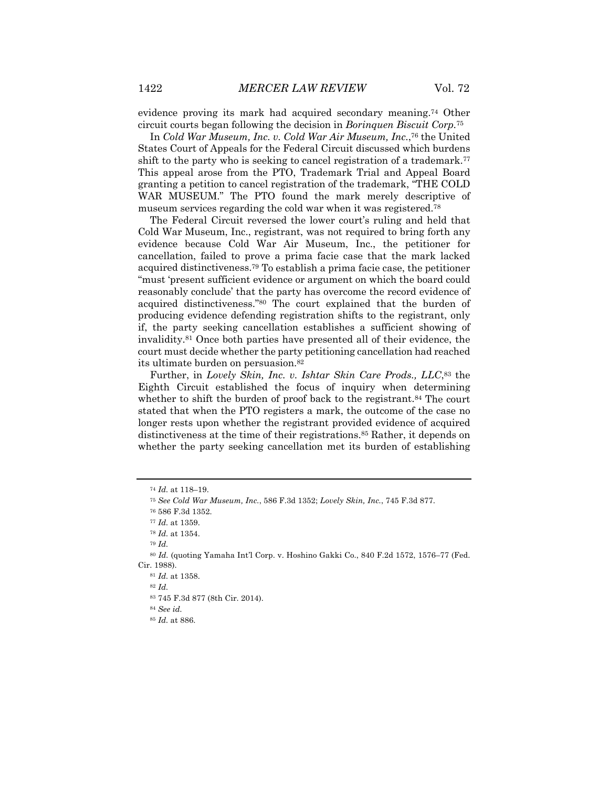evidence proving its mark had acquired secondary meaning.74 Other circuit courts began following the decision in *Borinquen Biscuit Corp.*<sup>75</sup>

In *Cold War Museum, Inc. v. Cold War Air Museum, Inc.*,76 the United States Court of Appeals for the Federal Circuit discussed which burdens shift to the party who is seeking to cancel registration of a trademark.<sup>77</sup> This appeal arose from the PTO, Trademark Trial and Appeal Board granting a petition to cancel registration of the trademark, "THE COLD WAR MUSEUM." The PTO found the mark merely descriptive of museum services regarding the cold war when it was registered.78

The Federal Circuit reversed the lower court's ruling and held that Cold War Museum, Inc., registrant, was not required to bring forth any evidence because Cold War Air Museum, Inc., the petitioner for cancellation, failed to prove a prima facie case that the mark lacked acquired distinctiveness.79 To establish a prima facie case, the petitioner "must 'present sufficient evidence or argument on which the board could reasonably conclude' that the party has overcome the record evidence of acquired distinctiveness."80 The court explained that the burden of producing evidence defending registration shifts to the registrant, only if, the party seeking cancellation establishes a sufficient showing of invalidity.81 Once both parties have presented all of their evidence, the court must decide whether the party petitioning cancellation had reached its ultimate burden on persuasion.82

Further, in *Lovely Skin, Inc. v. Ishtar Skin Care Prods., LLC*,83 the Eighth Circuit established the focus of inquiry when determining whether to shift the burden of proof back to the registrant.<sup>84</sup> The court stated that when the PTO registers a mark, the outcome of the case no longer rests upon whether the registrant provided evidence of acquired distinctiveness at the time of their registrations.85 Rather, it depends on whether the party seeking cancellation met its burden of establishing

<sup>79</sup> *Id.*

<sup>84</sup> *See id.*

<sup>74</sup> *Id.* at 118–19.

<sup>75</sup> *See Cold War Museum, Inc.*, 586 F.3d 1352; *Lovely Skin, Inc.*, 745 F.3d 877.

<sup>76</sup> 586 F.3d 1352.

<sup>77</sup> *Id.* at 1359.

<sup>78</sup> *Id.* at 1354.

<sup>80</sup> *Id.* (quoting Yamaha Int'l Corp. v. Hoshino Gakki Co., 840 F.2d 1572, 1576–77 (Fed. Cir. 1988).

<sup>81</sup> *Id.* at 1358.

<sup>82</sup> *Id.*

<sup>83</sup> 745 F.3d 877 (8th Cir. 2014).

<sup>85</sup> *Id.* at 886.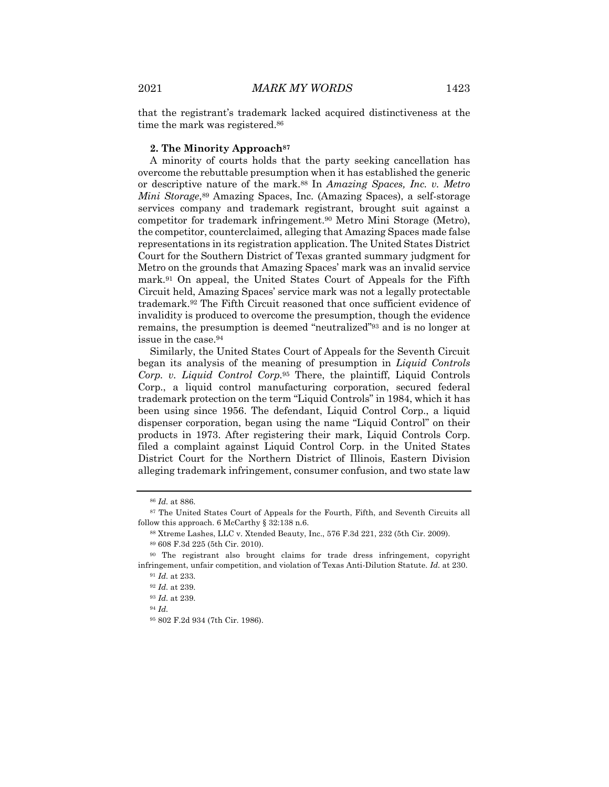## **2. The Minority Approach87**

A minority of courts holds that the party seeking cancellation has overcome the rebuttable presumption when it has established the generic or descriptive nature of the mark.88 In *Amazing Spaces, Inc. v. Metro Mini Storage*,<sup>89</sup> Amazing Spaces, Inc. (Amazing Spaces), a self-storage services company and trademark registrant, brought suit against a competitor for trademark infringement.90 Metro Mini Storage (Metro), the competitor, counterclaimed, alleging that Amazing Spaces made false representations in its registration application. The United States District Court for the Southern District of Texas granted summary judgment for Metro on the grounds that Amazing Spaces' mark was an invalid service mark.91 On appeal, the United States Court of Appeals for the Fifth Circuit held, Amazing Spaces' service mark was not a legally protectable trademark.92 The Fifth Circuit reasoned that once sufficient evidence of invalidity is produced to overcome the presumption, though the evidence remains, the presumption is deemed "neutralized"93 and is no longer at issue in the case.94

Similarly, the United States Court of Appeals for the Seventh Circuit began its analysis of the meaning of presumption in *Liquid Controls Corp. v. Liquid Control Corp.*<sup>95</sup> There, the plaintiff, Liquid Controls Corp., a liquid control manufacturing corporation, secured federal trademark protection on the term "Liquid Controls" in 1984, which it has been using since 1956. The defendant, Liquid Control Corp., a liquid dispenser corporation, began using the name "Liquid Control" on their products in 1973. After registering their mark, Liquid Controls Corp. filed a complaint against Liquid Control Corp. in the United States District Court for the Northern District of Illinois, Eastern Division alleging trademark infringement, consumer confusion, and two state law

<sup>86</sup> *Id.* at 886.

<sup>87</sup> The United States Court of Appeals for the Fourth, Fifth, and Seventh Circuits all follow this approach. 6 McCarthy  $\S$  32:138 n.6.

<sup>88</sup> Xtreme Lashes, LLC v. Xtended Beauty, Inc., 576 F.3d 221, 232 (5th Cir. 2009).

<sup>89</sup> 608 F.3d 225 (5th Cir. 2010).

<sup>90</sup> The registrant also brought claims for trade dress infringement, copyright infringement, unfair competition, and violation of Texas Anti-Dilution Statute. *Id.* at 230.

<sup>91</sup> *Id.* at 233.

<sup>92</sup> *Id.* at 239.

<sup>93</sup> *Id.* at 239.

<sup>94</sup> *Id.*

<sup>95</sup> 802 F.2d 934 (7th Cir. 1986).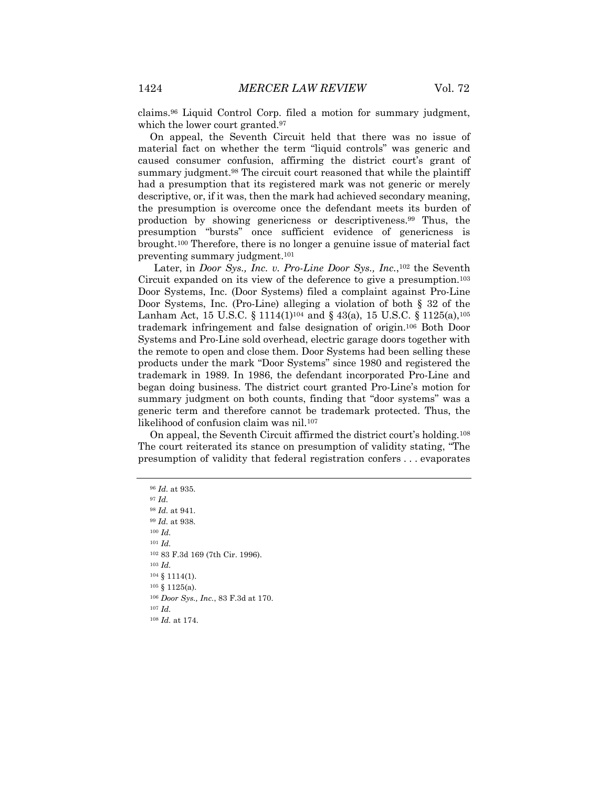claims.96 Liquid Control Corp. filed a motion for summary judgment, which the lower court granted.<sup>97</sup>

On appeal, the Seventh Circuit held that there was no issue of material fact on whether the term "liquid controls" was generic and caused consumer confusion, affirming the district court's grant of summary judgment.98 The circuit court reasoned that while the plaintiff had a presumption that its registered mark was not generic or merely descriptive, or, if it was, then the mark had achieved secondary meaning, the presumption is overcome once the defendant meets its burden of production by showing genericness or descriptiveness.99 Thus, the presumption "bursts" once sufficient evidence of genericness is brought.100 Therefore, there is no longer a genuine issue of material fact preventing summary judgment.101

Later, in *Door Sys., Inc. v. Pro-Line Door Sys., Inc.*,102 the Seventh Circuit expanded on its view of the deference to give a presumption.103 Door Systems, Inc. (Door Systems) filed a complaint against Pro-Line Door Systems, Inc. (Pro-Line) alleging a violation of both § 32 of the Lanham Act, 15 U.S.C. § 1114(1)<sup>104</sup> and § 43(a), 15 U.S.C. § 1125(a),<sup>105</sup> trademark infringement and false designation of origin.106 Both Door Systems and Pro-Line sold overhead, electric garage doors together with the remote to open and close them. Door Systems had been selling these products under the mark "Door Systems" since 1980 and registered the trademark in 1989. In 1986, the defendant incorporated Pro-Line and began doing business. The district court granted Pro-Line's motion for summary judgment on both counts, finding that "door systems" was a generic term and therefore cannot be trademark protected. Thus, the likelihood of confusion claim was nil.107

On appeal, the Seventh Circuit affirmed the district court's holding.108 The court reiterated its stance on presumption of validity stating, "The presumption of validity that federal registration confers . . . evaporates

 *Id.* at 935. <sup>97</sup> *Id. Id.* at 941. *Id.* at 938. <sup>100</sup> *Id.*  <sup>101</sup> *Id.* 83 F.3d 169 (7th Cir. 1996). <sup>103</sup> *Id.* § 1114(1). § 1125(a). *Door Sys., Inc.*, 83 F.3d at 170. <sup>107</sup> *Id. Id.* at 174.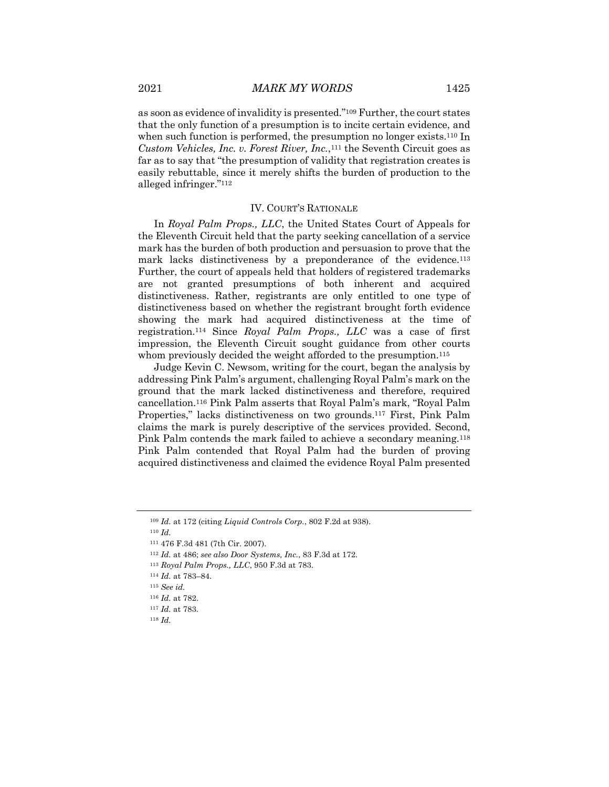as soon as evidence of invalidity is presented."109 Further, the court states that the only function of a presumption is to incite certain evidence, and when such function is performed, the presumption no longer exists.<sup>110</sup> In *Custom Vehicles, Inc. v. Forest River, Inc.*,111 the Seventh Circuit goes as far as to say that "the presumption of validity that registration creates is easily rebuttable, since it merely shifts the burden of production to the alleged infringer."112

# IV. COURT'S RATIONALE

In *Royal Palm Props., LLC*, the United States Court of Appeals for the Eleventh Circuit held that the party seeking cancellation of a service mark has the burden of both production and persuasion to prove that the mark lacks distinctiveness by a preponderance of the evidence.113 Further, the court of appeals held that holders of registered trademarks are not granted presumptions of both inherent and acquired distinctiveness. Rather, registrants are only entitled to one type of distinctiveness based on whether the registrant brought forth evidence showing the mark had acquired distinctiveness at the time of registration.114 Since *Royal Palm Props., LLC* was a case of first impression, the Eleventh Circuit sought guidance from other courts whom previously decided the weight afforded to the presumption.<sup>115</sup>

Judge Kevin C. Newsom, writing for the court, began the analysis by addressing Pink Palm's argument, challenging Royal Palm's mark on the ground that the mark lacked distinctiveness and therefore, required cancellation.116 Pink Palm asserts that Royal Palm's mark, "Royal Palm Properties," lacks distinctiveness on two grounds.117 First, Pink Palm claims the mark is purely descriptive of the services provided. Second, Pink Palm contends the mark failed to achieve a secondary meaning.118 Pink Palm contended that Royal Palm had the burden of proving acquired distinctiveness and claimed the evidence Royal Palm presented

<sup>110</sup> *Id.*

<sup>109</sup> *Id.* at 172 (citing *Liquid Controls Corp.*, 802 F.2d at 938).

<sup>111</sup> 476 F.3d 481 (7th Cir. 2007).

<sup>112</sup> *Id.* at 486; *see also Door Systems, Inc.*, 83 F.3d at 172.

<sup>113</sup> *Royal Palm Props., LLC*, 950 F.3d at 783.

<sup>114</sup> *Id.* at 783–84.

<sup>115</sup> *See id.*

<sup>116</sup> *Id.* at 782.

<sup>117</sup> *Id.* at 783.

<sup>118</sup> *Id.*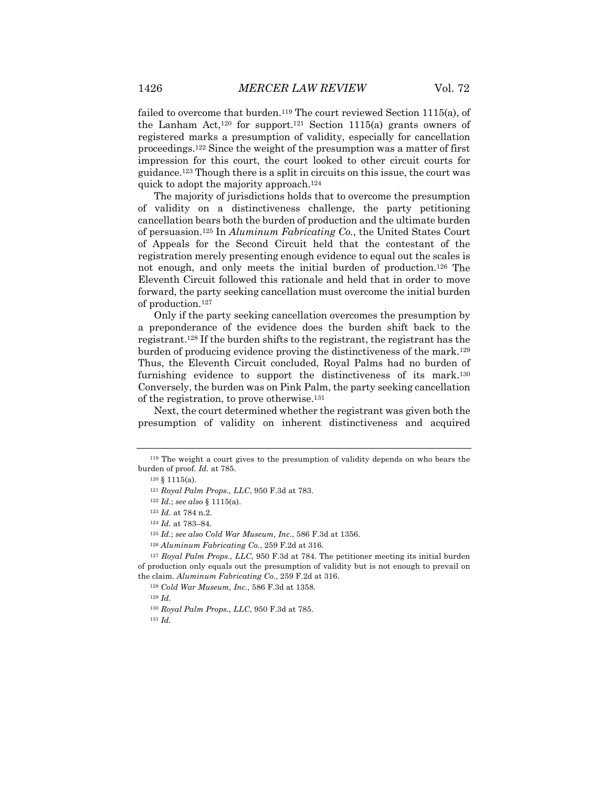failed to overcome that burden.<sup>119</sup> The court reviewed Section 1115(a), of the Lanham Act,<sup>120</sup> for support.<sup>121</sup> Section 1115(a) grants owners of registered marks a presumption of validity, especially for cancellation proceedings.122 Since the weight of the presumption was a matter of first impression for this court, the court looked to other circuit courts for guidance.123 Though there is a split in circuits on this issue, the court was quick to adopt the majority approach.124

The majority of jurisdictions holds that to overcome the presumption of validity on a distinctiveness challenge, the party petitioning cancellation bears both the burden of production and the ultimate burden of persuasion.125 In *Aluminum Fabricating Co.*, the United States Court of Appeals for the Second Circuit held that the contestant of the registration merely presenting enough evidence to equal out the scales is not enough, and only meets the initial burden of production.126 The Eleventh Circuit followed this rationale and held that in order to move forward, the party seeking cancellation must overcome the initial burden of production.127

Only if the party seeking cancellation overcomes the presumption by a preponderance of the evidence does the burden shift back to the registrant.128 If the burden shifts to the registrant, the registrant has the burden of producing evidence proving the distinctiveness of the mark.129 Thus, the Eleventh Circuit concluded, Royal Palms had no burden of furnishing evidence to support the distinctiveness of its mark.130 Conversely, the burden was on Pink Palm, the party seeking cancellation of the registration, to prove otherwise.131

Next, the court determined whether the registrant was given both the presumption of validity on inherent distinctiveness and acquired

<sup>125</sup> *Id.*; *see also Cold War Museum, Inc.*, 586 F.3d at 1356.

<sup>129</sup> *Id.*

<sup>131</sup> *Id.*

<sup>119</sup> The weight a court gives to the presumption of validity depends on who bears the burden of proof. *Id.* at 785.

<sup>120</sup> § 1115(a).

<sup>121</sup> *Royal Palm Props., LLC*, 950 F.3d at 783.

<sup>122</sup> *Id.*; *see also* § 1115(a).

<sup>123</sup> *Id.* at 784 n.2.

<sup>124</sup> *Id.* at 783–84.

<sup>126</sup> *Aluminum Fabricating Co.*, 259 F.2d at 316.

<sup>127</sup> *Royal Palm Props., LLC*, 950 F.3d at 784. The petitioner meeting its initial burden of production only equals out the presumption of validity but is not enough to prevail on the claim. *Aluminum Fabricating Co.*, 259 F.2d at 316.

<sup>128</sup> *Cold War Museum, Inc.*, 586 F.3d at 1358.

<sup>130</sup> *Royal Palm Props., LLC*, 950 F.3d at 785.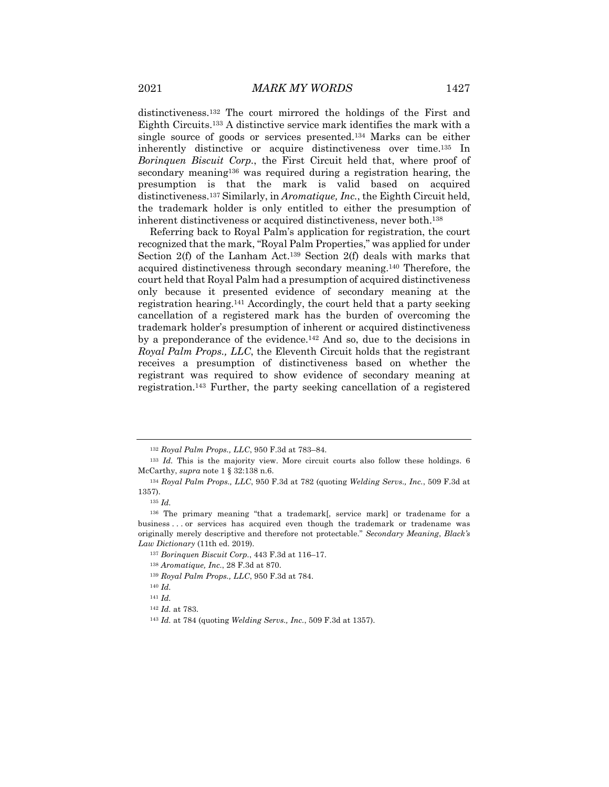distinctiveness.132 The court mirrored the holdings of the First and Eighth Circuits.133 A distinctive service mark identifies the mark with a single source of goods or services presented.134 Marks can be either inherently distinctive or acquire distinctiveness over time.135 In *Borinquen Biscuit Corp.*, the First Circuit held that, where proof of secondary meaning136 was required during a registration hearing, the presumption is that the mark is valid based on acquired distinctiveness.137 Similarly, in *Aromatique, Inc.*, the Eighth Circuit held, the trademark holder is only entitled to either the presumption of inherent distinctiveness or acquired distinctiveness, never both.138

Referring back to Royal Palm's application for registration, the court recognized that the mark, "Royal Palm Properties," was applied for under Section 2(f) of the Lanham Act.139 Section 2(f) deals with marks that acquired distinctiveness through secondary meaning.140 Therefore, the court held that Royal Palm had a presumption of acquired distinctiveness only because it presented evidence of secondary meaning at the registration hearing.141 Accordingly, the court held that a party seeking cancellation of a registered mark has the burden of overcoming the trademark holder's presumption of inherent or acquired distinctiveness by a preponderance of the evidence.142 And so, due to the decisions in *Royal Palm Props., LLC*, the Eleventh Circuit holds that the registrant receives a presumption of distinctiveness based on whether the registrant was required to show evidence of secondary meaning at registration.143 Further, the party seeking cancellation of a registered

<sup>139</sup> *Royal Palm Props., LLC*, 950 F.3d at 784.

<sup>132</sup> *Royal Palm Props., LLC*, 950 F.3d at 783–84.

<sup>133</sup> *Id.* This is the majority view. More circuit courts also follow these holdings. 6 McCarthy, *supra* note 1 § 32:138 n.6.

<sup>134</sup> *Royal Palm Props., LLC*, 950 F.3d at 782 (quoting *Welding Servs., Inc.*, 509 F.3d at 1357).

<sup>135</sup> *Id.*

<sup>136</sup> The primary meaning "that a trademark[, service mark] or tradename for a business . . . or services has acquired even though the trademark or tradename was originally merely descriptive and therefore not protectable." *Secondary Meaning*, *Black's Law Dictionary* (11th ed. 2019).

<sup>137</sup> *Borinquen Biscuit Corp.*, 443 F.3d at 116–17.

<sup>138</sup> *Aromatique, Inc.*, 28 F.3d at 870.

<sup>140</sup> *Id.*

<sup>141</sup> *Id.*

<sup>142</sup> *Id.* at 783.

<sup>143</sup> *Id.* at 784 (quoting *Welding Servs., Inc.*, 509 F.3d at 1357).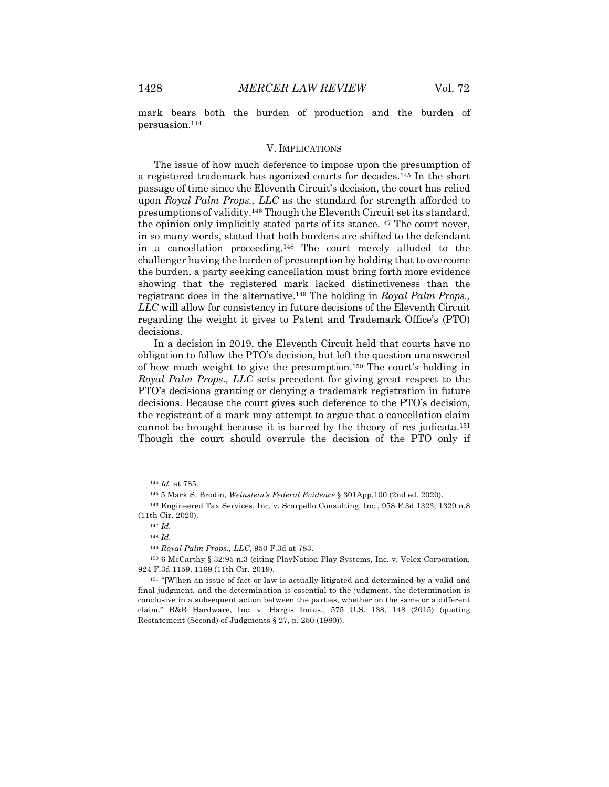mark bears both the burden of production and the burden of persuasion.144

#### V. IMPLICATIONS

The issue of how much deference to impose upon the presumption of a registered trademark has agonized courts for decades.145 In the short passage of time since the Eleventh Circuit's decision, the court has relied upon *Royal Palm Props., LLC* as the standard for strength afforded to presumptions of validity.146 Though the Eleventh Circuit set its standard, the opinion only implicitly stated parts of its stance.147 The court never, in so many words, stated that both burdens are shifted to the defendant in a cancellation proceeding.148 The court merely alluded to the challenger having the burden of presumption by holding that to overcome the burden, a party seeking cancellation must bring forth more evidence showing that the registered mark lacked distinctiveness than the registrant does in the alternative.149 The holding in *Royal Palm Props., LLC* will allow for consistency in future decisions of the Eleventh Circuit regarding the weight it gives to Patent and Trademark Office's (PTO) decisions.

In a decision in 2019, the Eleventh Circuit held that courts have no obligation to follow the PTO's decision, but left the question unanswered of how much weight to give the presumption.150 The court's holding in *Royal Palm Props., LLC* sets precedent for giving great respect to the PTO's decisions granting or denying a trademark registration in future decisions. Because the court gives such deference to the PTO's decision, the registrant of a mark may attempt to argue that a cancellation claim cannot be brought because it is barred by the theory of res judicata.151 Though the court should overrule the decision of the PTO only if

<sup>144</sup> *Id.* at 785.

<sup>145</sup> 5 Mark S. Brodin, *Weinstein's Federal Evidence* § 301App.100 (2nd ed. 2020).

<sup>146</sup> Engineered Tax Services, Inc. v. Scarpello Consulting, Inc., 958 F.3d 1323, 1329 n.8 (11th Cir. 2020).

<sup>147</sup> *Id.*

<sup>148</sup> *Id.*

<sup>149</sup> *Royal Palm Props., LLC*, 950 F.3d at 783.

<sup>150</sup> 6 McCarthy § 32:95 n.3 (citing PlayNation Play Systems, Inc. v. Velex Corporation, 924 F.3d 1159, 1169 (11th Cir. 2019).

<sup>151</sup> "[W]hen an issue of fact or law is actually litigated and determined by a valid and final judgment, and the determination is essential to the judgment, the determination is conclusive in a subsequent action between the parties, whether on the same or a different claim." B&B Hardware, Inc. v. Hargis Indus., 575 U.S. 138, 148 (2015) (quoting Restatement (Second) of Judgments § 27, p. 250 (1980)).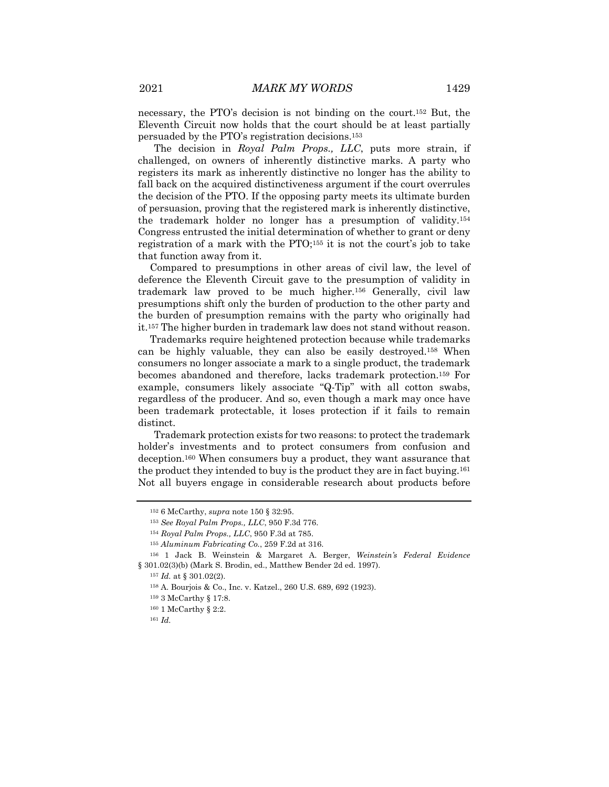necessary, the PTO's decision is not binding on the court.152 But, the Eleventh Circuit now holds that the court should be at least partially persuaded by the PTO's registration decisions.153

The decision in *Royal Palm Props., LLC*, puts more strain, if challenged, on owners of inherently distinctive marks. A party who registers its mark as inherently distinctive no longer has the ability to fall back on the acquired distinctiveness argument if the court overrules the decision of the PTO. If the opposing party meets its ultimate burden of persuasion, proving that the registered mark is inherently distinctive, the trademark holder no longer has a presumption of validity.154 Congress entrusted the initial determination of whether to grant or deny registration of a mark with the PTO;155 it is not the court's job to take that function away from it.

Compared to presumptions in other areas of civil law, the level of deference the Eleventh Circuit gave to the presumption of validity in trademark law proved to be much higher.156 Generally, civil law presumptions shift only the burden of production to the other party and the burden of presumption remains with the party who originally had it.157 The higher burden in trademark law does not stand without reason.

Trademarks require heightened protection because while trademarks can be highly valuable, they can also be easily destroyed.158 When consumers no longer associate a mark to a single product, the trademark becomes abandoned and therefore, lacks trademark protection.159 For example, consumers likely associate "Q-Tip" with all cotton swabs, regardless of the producer. And so, even though a mark may once have been trademark protectable, it loses protection if it fails to remain distinct.

Trademark protection exists for two reasons: to protect the trademark holder's investments and to protect consumers from confusion and deception.160 When consumers buy a product, they want assurance that the product they intended to buy is the product they are in fact buying.161 Not all buyers engage in considerable research about products before

<sup>152</sup> 6 McCarthy, *supra* note 150 § 32:95.

<sup>153</sup> *See Royal Palm Props., LLC*, 950 F.3d 776.

<sup>154</sup> *Royal Palm Props., LLC*, 950 F.3d at 785.

<sup>155</sup> *Aluminum Fabricating Co.*, 259 F.2d at 316.

<sup>156</sup> 1 Jack B. Weinstein & Margaret A. Berger, *Weinstein's Federal Evidence* § 301.02(3)(b) (Mark S. Brodin, ed., Matthew Bender 2d ed. 1997).

 $157$  *Id.* at § 301.02(2).

<sup>158</sup> A. Bourjois & Co., Inc. v. Katzel., 260 U.S. 689, 692 (1923).

<sup>159</sup> 3 McCarthy § 17:8.

<sup>160</sup> 1 McCarthy § 2:2.

<sup>161</sup> *Id.*